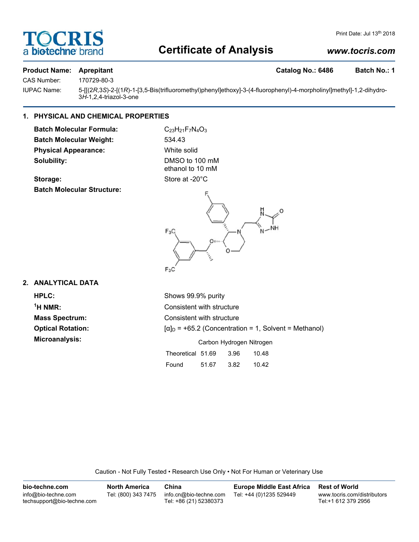# **DCRI** a biotechne

# **Certificate of Analysis**

### *www.tocris.com*

Print Date: Jul 13<sup>th</sup> 2018

#### **Product Name: Aprepitant Catalog No.: 6486 Batch No.: 1**

CAS Number: 170729-80-3

IUPAC Name: 5-[[(2*R*,3*S*)-2-[(1*R*)-1-[3,5-Bis(trifluoromethyl)phenyl]ethoxy]-3-(4-fluorophenyl)-4-morpholinyl]methyl]-1,2-dihydro-3*H*-1,2,4-triazol-3-one

#### **1. PHYSICAL AND CHEMICAL PROPERTIES**

**Batch Molecular Formula:** C<sub>23</sub>H<sub>21</sub>F<sub>7</sub>N<sub>4</sub>O<sub>3</sub> **Batch Molecular Weight:** 534.43 **Physical Appearance:** White solid **Solubility:** DMSO to 100 mM

ethanol to 10 mM

Storage: Store at -20°C **Batch Molecular Structure:**



#### **2. ANALYTICAL DATA**

 $<sup>1</sup>H NMR$ :</sup>

**HPLC:** Shows 99.9% purity **Consistent with structure Mass Spectrum:** Consistent with structure **Optical Rotation:**  $[\alpha]_D = +65.2$  (Concentration = 1, Solvent = Methanol) **Microanalysis:** Microanalysis: **Carbon Hydrogen Nitrogen** Theoretical 51.69 3.96 10.48 Found 51.67 3.82 10.42

Caution - Not Fully Tested • Research Use Only • Not For Human or Veterinary Use

| bio-techne.com                                    | North America       | China                                            | <b>Europe Middle East Africa</b> | <b>Rest of World</b>                               |
|---------------------------------------------------|---------------------|--------------------------------------------------|----------------------------------|----------------------------------------------------|
| info@bio-techne.com<br>techsupport@bio-techne.com | Tel: (800) 343 7475 | info.cn@bio-techne.com<br>Tel: +86 (21) 52380373 | Tel: +44 (0)1235 529449          | www.tocris.com/distributors<br>Tel:+1 612 379 2956 |